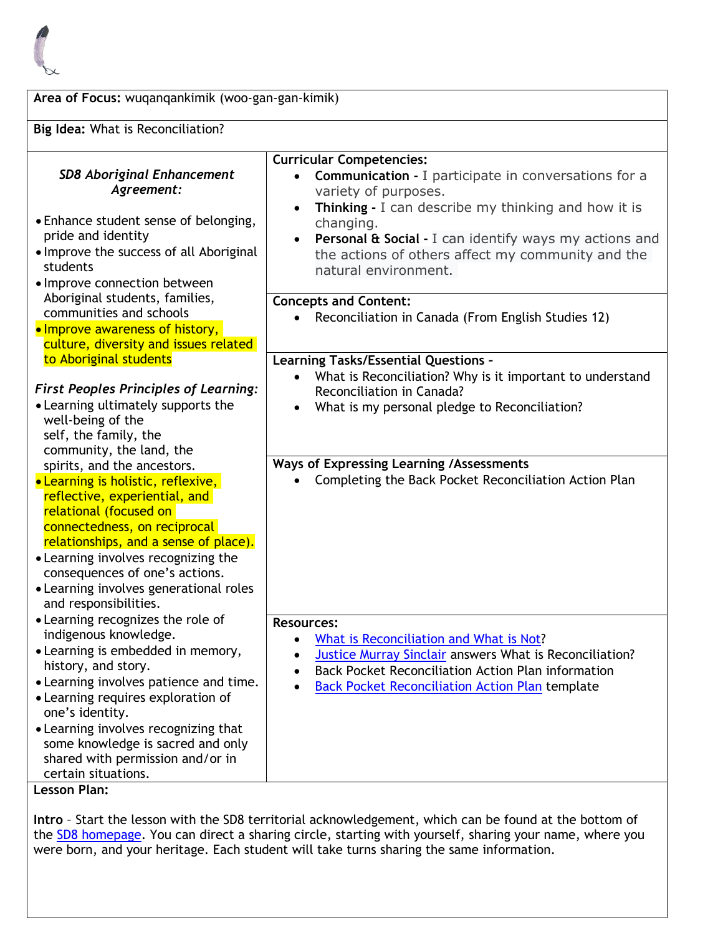

| Area of Focus: wuqanqankimik (woo-gan-gan-kimik)<br>Big Idea: What is Reconciliation?                                                                                                                                                                                                                                                             |                                                                                                                                                                                                                                                                                             |
|---------------------------------------------------------------------------------------------------------------------------------------------------------------------------------------------------------------------------------------------------------------------------------------------------------------------------------------------------|---------------------------------------------------------------------------------------------------------------------------------------------------------------------------------------------------------------------------------------------------------------------------------------------|
|                                                                                                                                                                                                                                                                                                                                                   |                                                                                                                                                                                                                                                                                             |
| • Enhance student sense of belonging,<br>pride and identity<br>• Improve the success of all Aboriginal<br>students<br>• Improve connection between                                                                                                                                                                                                | changing.<br>Personal & Social - I can identify ways my actions and<br>$\bullet$<br>the actions of others affect my community and the<br>natural environment.                                                                                                                               |
| Aboriginal students, families,<br>communities and schools<br>• Improve awareness of history,<br>culture, diversity and issues related                                                                                                                                                                                                             | <b>Concepts and Content:</b><br>Reconciliation in Canada (From English Studies 12)<br>$\bullet$                                                                                                                                                                                             |
| to Aboriginal students                                                                                                                                                                                                                                                                                                                            | <b>Learning Tasks/Essential Questions -</b><br>What is Reconciliation? Why is it important to understand                                                                                                                                                                                    |
| <b>First Peoples Principles of Learning:</b><br>• Learning ultimately supports the<br>well-being of the<br>self, the family, the<br>community, the land, the                                                                                                                                                                                      | Reconciliation in Canada?<br>What is my personal pledge to Reconciliation?                                                                                                                                                                                                                  |
| spirits, and the ancestors.<br>• Learning is holistic, reflexive,<br>reflective, experiential, and<br>relational (focused on<br>connectedness, on reciprocal<br>relationships, and a sense of place).<br>• Learning involves recognizing the<br>consequences of one's actions.<br>• Learning involves generational roles<br>and responsibilities. | Ways of Expressing Learning /Assessments<br>Completing the Back Pocket Reconciliation Action Plan                                                                                                                                                                                           |
| • Learning recognizes the role of<br>indigenous knowledge.<br>• Learning is embedded in memory,<br>history, and story.<br>• Learning involves patience and time.<br>• Learning requires exploration of<br>one's identity.                                                                                                                         | <b>Resources:</b><br>What is Reconciliation and What is Not?<br>$\bullet$<br>Justice Murray Sinclair answers What is Reconciliation?<br>$\bullet$<br>Back Pocket Reconciliation Action Plan information<br>$\bullet$<br><b>Back Pocket Reconciliation Action Plan template</b><br>$\bullet$ |
| • Learning involves recognizing that<br>some knowledge is sacred and only<br>shared with permission and/or in<br>certain situations.<br><b>Lesson Plan:</b>                                                                                                                                                                                       |                                                                                                                                                                                                                                                                                             |

**Intro** – Start the lesson with the SD8 territorial acknowledgement, which can be found at the bottom of the [SD8 homepage.](https://www.sd8.bc.ca/) You can direct a sharing circle, starting with yourself, sharing your name, where you were born, and your heritage. Each student will take turns sharing the same information.